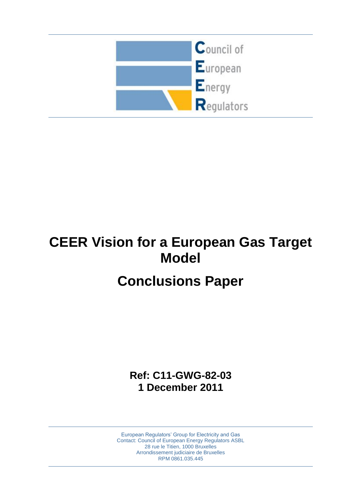

# **CEER Vision for a European Gas Target Model**

# **Conclusions Paper**

**Ref: C11-GWG-82-03 1 December 2011**

European Regulators" Group for Electricity and Gas Contact: Council of European Energy Regulators ASBL 28 rue le Titien, 1000 Bruxelles Arrondissement judiciaire de Bruxelles RPM 0861.035.445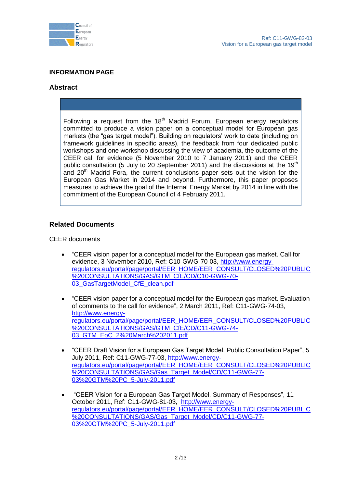

# **INFORMATION PAGE**

# **Abstract**

Following a request from the  $18<sup>th</sup>$  Madrid Forum, European energy regulators committed to produce a vision paper on a conceptual model for European gas markets (the "gas target model"). Building on regulators' work to date (including on framework guidelines in specific areas), the feedback from four dedicated public workshops and one workshop discussing the view of academia, the outcome of the CEER call for evidence (5 November 2010 to 7 January 2011) and the CEER public consultation (5 July to 20 September 2011) and the discussions at the  $19<sup>th</sup>$ and  $20<sup>th</sup>$  Madrid Fora, the current conclusions paper sets out the vision for the European Gas Market in 2014 and beyond. Furthermore, this paper proposes measures to achieve the goal of the Internal Energy Market by 2014 in line with the commitment of the European Council of 4 February 2011.

# **Related Documents**

CEER documents

- "CEER vision paper for a conceptual model for the European gas market. Call for evidence, 3 November 2010, Ref: C10-GWG-70-03, [http://www.energy](http://www.energy-regulators.eu/portal/page/portal/EER_HOME/EER_CONSULT/CLOSED%20PUBLIC%20CONSULTATIONS/GAS/GTM_CfE/CD/C10-GWG-70-03_GasTargetModel_CfE_clean.pdf)[regulators.eu/portal/page/portal/EER\\_HOME/EER\\_CONSULT/CLOSED%20PUBLIC](http://www.energy-regulators.eu/portal/page/portal/EER_HOME/EER_CONSULT/CLOSED%20PUBLIC%20CONSULTATIONS/GAS/GTM_CfE/CD/C10-GWG-70-03_GasTargetModel_CfE_clean.pdf) [%20CONSULTATIONS/GAS/GTM\\_CfE/CD/C10-GWG-70-](http://www.energy-regulators.eu/portal/page/portal/EER_HOME/EER_CONSULT/CLOSED%20PUBLIC%20CONSULTATIONS/GAS/GTM_CfE/CD/C10-GWG-70-03_GasTargetModel_CfE_clean.pdf) [03\\_GasTargetModel\\_CfE\\_clean.pdf](http://www.energy-regulators.eu/portal/page/portal/EER_HOME/EER_CONSULT/CLOSED%20PUBLIC%20CONSULTATIONS/GAS/GTM_CfE/CD/C10-GWG-70-03_GasTargetModel_CfE_clean.pdf)
- "CEER vision paper for a conceptual model for the European gas market. Evaluation of comments to the call for evidence", 2 March 2011, Ref: C11-GWG-74-03, [http://www.energy](http://www.energy-regulators.eu/portal/page/portal/EER_HOME/EER_CONSULT/CLOSED%20PUBLIC%20CONSULTATIONS/GAS/GTM_CfE/CD/C11-GWG-74-03_GTM_EoC_2%20March%202011.pdf)[regulators.eu/portal/page/portal/EER\\_HOME/EER\\_CONSULT/CLOSED%20PUBLIC](http://www.energy-regulators.eu/portal/page/portal/EER_HOME/EER_CONSULT/CLOSED%20PUBLIC%20CONSULTATIONS/GAS/GTM_CfE/CD/C11-GWG-74-03_GTM_EoC_2%20March%202011.pdf) [%20CONSULTATIONS/GAS/GTM\\_CfE/CD/C11-GWG-74-](http://www.energy-regulators.eu/portal/page/portal/EER_HOME/EER_CONSULT/CLOSED%20PUBLIC%20CONSULTATIONS/GAS/GTM_CfE/CD/C11-GWG-74-03_GTM_EoC_2%20March%202011.pdf) [03\\_GTM\\_EoC\\_2%20March%202011.pdf](http://www.energy-regulators.eu/portal/page/portal/EER_HOME/EER_CONSULT/CLOSED%20PUBLIC%20CONSULTATIONS/GAS/GTM_CfE/CD/C11-GWG-74-03_GTM_EoC_2%20March%202011.pdf)
- "CEER Draft Vision for a European Gas Target Model. Public Consultation Paper", 5 July 2011, Ref: C11-GWG-77-03, [http://www.energy](http://www.energy-regulators.eu/portal/page/portal/EER_HOME/EER_CONSULT/CLOSED%20PUBLIC%20CONSULTATIONS/GAS/Gas_Target_Model/CD/C11-GWG-77-03%20GTM%20PC_5-July-2011.pdf)[regulators.eu/portal/page/portal/EER\\_HOME/EER\\_CONSULT/CLOSED%20PUBLIC](http://www.energy-regulators.eu/portal/page/portal/EER_HOME/EER_CONSULT/CLOSED%20PUBLIC%20CONSULTATIONS/GAS/Gas_Target_Model/CD/C11-GWG-77-03%20GTM%20PC_5-July-2011.pdf) [%20CONSULTATIONS/GAS/Gas\\_Target\\_Model/CD/C11-GWG-77-](http://www.energy-regulators.eu/portal/page/portal/EER_HOME/EER_CONSULT/CLOSED%20PUBLIC%20CONSULTATIONS/GAS/Gas_Target_Model/CD/C11-GWG-77-03%20GTM%20PC_5-July-2011.pdf) [03%20GTM%20PC\\_5-July-2011.pdf](http://www.energy-regulators.eu/portal/page/portal/EER_HOME/EER_CONSULT/CLOSED%20PUBLIC%20CONSULTATIONS/GAS/Gas_Target_Model/CD/C11-GWG-77-03%20GTM%20PC_5-July-2011.pdf)
- "CEER Vision for a European Gas Target Model. Summary of Responses", 11 October 2011, Ref: C11-GWG-81-03, [http://www.energy](http://www.energy-regulators.eu/portal/page/portal/EER_HOME/EER_CONSULT/CLOSED%20PUBLIC%20CONSULTATIONS/GAS/Gas_Target_Model/CD/C11-GWG-77-03%20GTM%20PC_5-July-2011.pdf)[regulators.eu/portal/page/portal/EER\\_HOME/EER\\_CONSULT/CLOSED%20PUBLIC](http://www.energy-regulators.eu/portal/page/portal/EER_HOME/EER_CONSULT/CLOSED%20PUBLIC%20CONSULTATIONS/GAS/Gas_Target_Model/CD/C11-GWG-77-03%20GTM%20PC_5-July-2011.pdf) [%20CONSULTATIONS/GAS/Gas\\_Target\\_Model/CD/C11-GWG-77-](http://www.energy-regulators.eu/portal/page/portal/EER_HOME/EER_CONSULT/CLOSED%20PUBLIC%20CONSULTATIONS/GAS/Gas_Target_Model/CD/C11-GWG-77-03%20GTM%20PC_5-July-2011.pdf) [03%20GTM%20PC\\_5-July-2011.pdf](http://www.energy-regulators.eu/portal/page/portal/EER_HOME/EER_CONSULT/CLOSED%20PUBLIC%20CONSULTATIONS/GAS/Gas_Target_Model/CD/C11-GWG-77-03%20GTM%20PC_5-July-2011.pdf)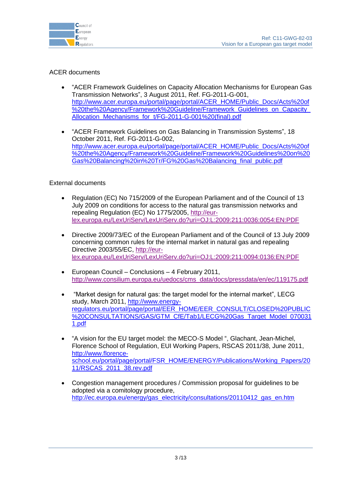

# ACER documents

- "ACER Framework Guidelines on Capacity Allocation Mechanisms for European Gas Transmission Networks", 3 August 2011, Ref. FG-2011-G-001, [http://www.acer.europa.eu/portal/page/portal/ACER\\_HOME/Public\\_Docs/Acts%20of](http://www.acer.europa.eu/portal/page/portal/ACER_HOME/Public_Docs/Acts%20of%20the%20Agency/Framework%20Guideline/Framework_Guidelines_on_Capacity_Allocation_Mechanisms_for_t/FG-2011-G-001%20(final).pdf) [%20the%20Agency/Framework%20Guideline/Framework\\_Guidelines\\_on\\_Capacity\\_](http://www.acer.europa.eu/portal/page/portal/ACER_HOME/Public_Docs/Acts%20of%20the%20Agency/Framework%20Guideline/Framework_Guidelines_on_Capacity_Allocation_Mechanisms_for_t/FG-2011-G-001%20(final).pdf) Allocation Mechanisms for t/FG-2011-G-001%20(final).pdf
- "ACER Framework Guidelines on Gas Balancing in Transmission Systems", 18 October 2011, Ref. FG-2011-G-002, [http://www.acer.europa.eu/portal/page/portal/ACER\\_HOME/Public\\_Docs/Acts%20of](http://www.acer.europa.eu/portal/page/portal/ACER_HOME/Public_Docs/Acts%20of%20the%20Agency/Framework%20Guideline/Framework%20Guidelines%20on%20Gas%20Balancing%20in%20Tr/FG%20Gas%20Balancing_final_public.pdf) [%20the%20Agency/Framework%20Guideline/Framework%20Guidelines%20on%20](http://www.acer.europa.eu/portal/page/portal/ACER_HOME/Public_Docs/Acts%20of%20the%20Agency/Framework%20Guideline/Framework%20Guidelines%20on%20Gas%20Balancing%20in%20Tr/FG%20Gas%20Balancing_final_public.pdf) [Gas%20Balancing%20in%20Tr/FG%20Gas%20Balancing\\_final\\_public.pdf](http://www.acer.europa.eu/portal/page/portal/ACER_HOME/Public_Docs/Acts%20of%20the%20Agency/Framework%20Guideline/Framework%20Guidelines%20on%20Gas%20Balancing%20in%20Tr/FG%20Gas%20Balancing_final_public.pdf)

# External documents

- Regulation (EC) No 715/2009 of the European Parliament and of the Council of 13 July 2009 on conditions for access to the natural gas transmission networks and repealing Regulation (EC) No 1775/2005, [http://eur](http://eur-lex.europa.eu/LexUriServ/LexUriServ.do?uri=OJ:L:2009:211:0036:0054:EN:PDF)[lex.europa.eu/LexUriServ/LexUriServ.do?uri=OJ:L:2009:211:0036:0054:EN:PDF](http://eur-lex.europa.eu/LexUriServ/LexUriServ.do?uri=OJ:L:2009:211:0036:0054:EN:PDF)
- Directive 2009/73/EC of the European Parliament and of the Council of 13 July 2009 concerning common rules for the internal market in natural gas and repealing Directive 2003/55/EC, [http://eur](http://eur-lex.europa.eu/LexUriServ/LexUriServ.do?uri=OJ:L:2009:211:0094:0136:EN:PDF)[lex.europa.eu/LexUriServ/LexUriServ.do?uri=OJ:L:2009:211:0094:0136:EN:PDF](http://eur-lex.europa.eu/LexUriServ/LexUriServ.do?uri=OJ:L:2009:211:0094:0136:EN:PDF)
- European Council Conclusions 4 February 2011, [http://www.consilium.europa.eu/uedocs/cms\\_data/docs/pressdata/en/ec/119175.pdf](http://www.consilium.europa.eu/uedocs/cms_data/docs/pressdata/en/ec/119175.pdf)
- "Market design for natural gas: the target model for the internal market", LECG study, March 2011, [http://www.energy](http://www.energy-regulators.eu/portal/page/portal/EER_HOME/EER_CONSULT/CLOSED%20PUBLIC%20CONSULTATIONS/GAS/GTM_CfE/Tab1/LECG%20Gas_Target_Model_0700311.pdf)[regulators.eu/portal/page/portal/EER\\_HOME/EER\\_CONSULT/CLOSED%20PUBLIC](http://www.energy-regulators.eu/portal/page/portal/EER_HOME/EER_CONSULT/CLOSED%20PUBLIC%20CONSULTATIONS/GAS/GTM_CfE/Tab1/LECG%20Gas_Target_Model_0700311.pdf) [%20CONSULTATIONS/GAS/GTM\\_CfE/Tab1/LECG%20Gas\\_Target\\_Model\\_070031](http://www.energy-regulators.eu/portal/page/portal/EER_HOME/EER_CONSULT/CLOSED%20PUBLIC%20CONSULTATIONS/GAS/GTM_CfE/Tab1/LECG%20Gas_Target_Model_0700311.pdf) [1.pdf](http://www.energy-regulators.eu/portal/page/portal/EER_HOME/EER_CONSULT/CLOSED%20PUBLIC%20CONSULTATIONS/GAS/GTM_CfE/Tab1/LECG%20Gas_Target_Model_0700311.pdf)
- "A vision for the EU target model: the MECO-S Model ", Glachant, Jean-Michel, Florence School of Regulation, EUI Working Papers, RSCAS 2011/38, June 2011, [http://www.florence](http://www.florence-school.eu/portal/page/portal/FSR_HOME/ENERGY/Publications/Working_Papers/2011/RSCAS_2011_38.rev.pdf)[school.eu/portal/page/portal/FSR\\_HOME/ENERGY/Publications/Working\\_Papers/20](http://www.florence-school.eu/portal/page/portal/FSR_HOME/ENERGY/Publications/Working_Papers/2011/RSCAS_2011_38.rev.pdf) [11/RSCAS\\_2011\\_38.rev.pdf](http://www.florence-school.eu/portal/page/portal/FSR_HOME/ENERGY/Publications/Working_Papers/2011/RSCAS_2011_38.rev.pdf)
- Congestion management procedures / Commission proposal for guidelines to be adopted via a comitology procedure, [http://ec.europa.eu/energy/gas\\_electricity/consultations/20110412\\_gas\\_en.htm](http://ec.europa.eu/energy/gas_electricity/consultations/20110412_gas_en.htm)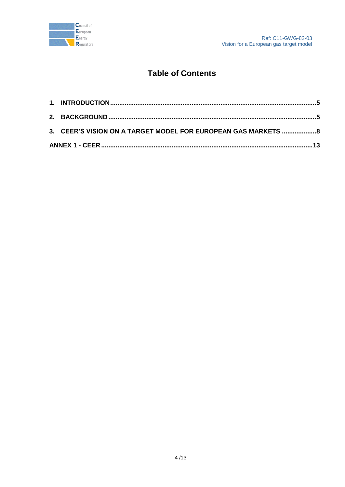

# **Table of Contents**

| 3. CEER'S VISION ON A TARGET MODEL FOR EUROPEAN GAS MARKETS 8 |  |
|---------------------------------------------------------------|--|
|                                                               |  |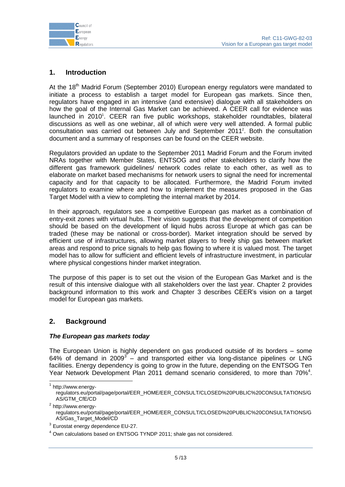

# <span id="page-4-0"></span>**1. Introduction**

At the 18<sup>th</sup> Madrid Forum (September 2010) European energy regulators were mandated to initiate a process to establish a target model for European gas markets. Since then, regulators have engaged in an intensive (and extensive) dialogue with all stakeholders on how the goal of the Internal Gas Market can be achieved. A CEER call for evidence was launched in 2010<sup>1</sup>. CEER ran five public workshops, stakeholder roundtables, bilateral discussions as well as one webinar, all of which were very well attended. A formal public consultation was carried out between July and September 2011<sup>2</sup>. Both the consultation document and a summary of responses can be found on the CEER website.

Regulators provided an update to the September 2011 Madrid Forum and the Forum invited NRAs together with Member States, ENTSOG and other stakeholders to clarify how the different gas framework guidelines/ network codes relate to each other, as well as to elaborate on market based mechanisms for network users to signal the need for incremental capacity and for that capacity to be allocated. Furthermore, the Madrid Forum invited regulators to examine where and how to implement the measures proposed in the Gas Target Model with a view to completing the internal market by 2014.

In their approach, regulators see a competitive European gas market as a combination of entry-exit zones with virtual hubs. Their vision suggests that the development of competition should be based on the development of liquid hubs across Europe at which gas can be traded (these may be national or cross-border). Market integration should be served by efficient use of infrastructures, allowing market players to freely ship gas between market areas and respond to price signals to help gas flowing to where it is valued most. The target model has to allow for sufficient and efficient levels of infrastructure investment, in particular where physical congestions hinder market integration.

The purpose of this paper is to set out the vision of the European Gas Market and is the result of this intensive dialogue with all stakeholders over the last year. Chapter 2 provides background information to this work and Chapter 3 describes CEER"s vision on a target model for European gas markets.

# <span id="page-4-1"></span>**2. Background**

# *The European gas markets today*

The European Union is highly dependent on gas produced outside of its borders – some 64% of demand in 2009 $3$  – and transported either via long-distance pipelines or LNG facilities. Energy dependency is going to grow in the future, depending on the ENTSOG Ten Year Network Development Plan 2011 demand scenario considered, to more than 70%<sup>4</sup>.

<sup>2</sup> http://www.energyregulators.eu/portal/page/portal/EER\_HOME/EER\_CONSULT/CLOSED%20PUBLIC%20CONSULTATIONS/G AS/Gas\_Target\_Model/CD

<sup>1&</sup>lt;br><sup>1</sup> http://www.energy-

regulators.eu/portal/page/portal/EER\_HOME/EER\_CONSULT/CLOSED%20PUBLIC%20CONSULTATIONS/G AS/GTM\_CfE/CD

 $3$  Eurostat energy dependence EU-27.

<sup>4</sup> Own calculations based on ENTSOG TYNDP 2011; shale gas not considered.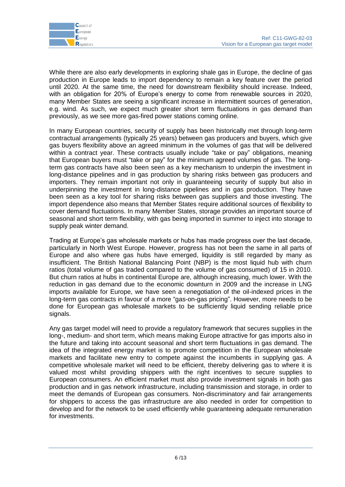

While there are also early developments in exploring shale gas in Europe, the decline of gas production in Europe leads to import dependency to remain a key feature over the period until 2020. At the same time, the need for downstream flexibility should increase. Indeed, with an obligation for 20% of Europe's energy to come from renewable sources in 2020, many Member States are seeing a significant increase in intermittent sources of generation, e.g. wind. As such, we expect much greater short term fluctuations in gas demand than previously, as we see more gas-fired power stations coming online.

In many European countries, security of supply has been historically met through long-term contractual arrangements (typically 25 years) between gas producers and buyers, which give gas buyers flexibility above an agreed minimum in the volumes of gas that will be delivered within a contract year. These contracts usually include "take or pay" obligations, meaning that European buyers must "take or pay" for the minimum agreed volumes of gas. The longterm gas contracts have also been seen as a key mechanism to underpin the investment in long-distance pipelines and in gas production by sharing risks between gas producers and importers. They remain important not only in guaranteeing security of supply but also in underpinning the investment in long-distance pipelines and in gas production. They have been seen as a key tool for sharing risks between gas suppliers and those investing. The import dependence also means that Member States require additional sources of flexibility to cover demand fluctuations. In many Member States, storage provides an important source of seasonal and short term flexibility, with gas being imported in summer to inject into storage to supply peak winter demand.

Trading at Europe"s gas wholesale markets or hubs has made progress over the last decade, particularly in North West Europe. However, progress has not been the same in all parts of Europe and also where gas hubs have emerged, liquidity is still regarded by many as insufficient. The British National Balancing Point (NBP) is the most liquid hub with churn ratios (total volume of gas traded compared to the volume of gas consumed) of 15 in 2010. But churn ratios at hubs in continental Europe are, although increasing, much lower. With the reduction in gas demand due to the economic downturn in 2009 and the increase in LNG imports available for Europe, we have seen a renegotiation of the oil-indexed prices in the long-term gas contracts in favour of a more "gas-on-gas pricing". However, more needs to be done for European gas wholesale markets to be sufficiently liquid sending reliable price signals.

Any gas target model will need to provide a regulatory framework that secures supplies in the long-, medium- and short term, which means making Europe attractive for gas imports also in the future and taking into account seasonal and short term fluctuations in gas demand. The idea of the integrated energy market is to promote competition in the European wholesale markets and facilitate new entry to compete against the incumbents in supplying gas. A competitive wholesale market will need to be efficient, thereby delivering gas to where it is valued most whilst providing shippers with the right incentives to secure supplies to European consumers. An efficient market must also provide investment signals in both gas production and in gas network infrastructure, including transmission and storage, in order to meet the demands of European gas consumers. Non-discriminatory and fair arrangements for shippers to access the gas infrastructure are also needed in order for competition to develop and for the network to be used efficiently while guaranteeing adequate remuneration for investments.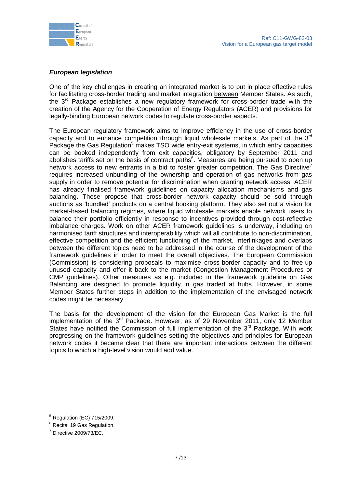

# *European legislation*

One of the key challenges in creating an integrated market is to put in place effective rules for facilitating cross-border trading and market integration between Member States. As such, the 3<sup>rd</sup> Package establishes a new regulatory framework for cross-border trade with the creation of the Agency for the Cooperation of Energy Regulators (ACER) and provisions for legally-binding European network codes to regulate cross-border aspects.

The European regulatory framework aims to improve efficiency in the use of cross-border capacity and to enhance competition through liquid wholesale markets. As part of the  $3<sup>rd</sup>$ Package the Gas Regulation<sup>5</sup> makes TSO wide entry-exit systems, in which entry capacities can be booked independently from exit capacities, obligatory by September 2011 and abolishes tariffs set on the basis of contract paths<sup>6</sup>. Measures are being pursued to open up network access to new entrants in a bid to foster greater competition. The Gas Directive<sup>7</sup> requires increased unbundling of the ownership and operation of gas networks from gas supply in order to remove potential for discrimination when granting network access. ACER has already finalised framework guidelines on capacity allocation mechanisms and gas balancing. These propose that cross-border network capacity should be sold through auctions as "bundled" products on a central booking platform. They also set out a vision for market-based balancing regimes, where liquid wholesale markets enable network users to balance their portfolio efficiently in response to incentives provided through cost-reflective imbalance charges. Work on other ACER framework guidelines is underway, including on harmonised tariff structures and interoperability which will all contribute to non-discrimination, effective competition and the efficient functioning of the market. Interlinkages and overlaps between the different topics need to be addressed in the course of the development of the framework guidelines in order to meet the overall objectives. The European Commission (Commission) is considering proposals to maximise cross-border capacity and to free-up unused capacity and offer it back to the market (Congestion Management Procedures or CMP guidelines). Other measures as e.g. included in the framework guideline on Gas Balancing are designed to promote liquidity in gas traded at hubs. However, in some Member States further steps in addition to the implementation of the envisaged network codes might be necessary.

The basis for the development of the vision for the European Gas Market is the full implementation of the  $3^{rd}$  Package. However, as of 29 November 2011, only 12 Member States have notified the Commission of full implementation of the  $3<sup>rd</sup>$  Package. With work progressing on the framework guidelines setting the objectives and principles for European network codes it became clear that there are important interactions between the different topics to which a high-level vision would add value.

<sup>1</sup>  $<sup>5</sup>$  Regulation (EC) 715/2009.</sup>

<sup>6</sup> Recital 19 Gas Regulation.

 $7$  Directive 2009/73/EC.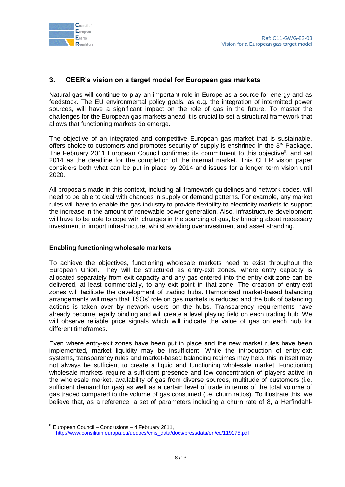

# <span id="page-7-0"></span>**3. CEER's vision on a target model for European gas markets**

Natural gas will continue to play an important role in Europe as a source for energy and as feedstock. The EU environmental policy goals, as e.g. the integration of intermitted power sources, will have a significant impact on the role of gas in the future. To master the challenges for the European gas markets ahead it is crucial to set a structural framework that allows that functioning markets do emerge.

The objective of an integrated and competitive European gas market that is sustainable, offers choice to customers and promotes security of supply is enshrined in the 3<sup>rd</sup> Package. The February 2011 European Council confirmed its commitment to this objective<sup>8</sup>, and set 2014 as the deadline for the completion of the internal market. This CEER vision paper considers both what can be put in place by 2014 and issues for a longer term vision until 2020.

All proposals made in this context, including all framework guidelines and network codes, will need to be able to deal with changes in supply or demand patterns. For example, any market rules will have to enable the gas industry to provide flexibility to electricity markets to support the increase in the amount of renewable power generation. Also, infrastructure development will have to be able to cope with changes in the sourcing of gas, by bringing about necessary investment in import infrastructure, whilst avoiding overinvestment and asset stranding.

# **Enabling functioning wholesale markets**

 $\overline{a}$ 

To achieve the objectives, functioning wholesale markets need to exist throughout the European Union. They will be structured as entry-exit zones, where entry capacity is allocated separately from exit capacity and any gas entered into the entry-exit zone can be delivered, at least commercially, to any exit point in that zone. The creation of entry-exit zones will facilitate the development of trading hubs. Harmonised market-based balancing arrangements will mean that TSOs" role on gas markets is reduced and the bulk of balancing actions is taken over by network users on the hubs. Transparency requirements have already become legally binding and will create a level playing field on each trading hub. We will observe reliable price signals which will indicate the value of gas on each hub for different timeframes.

Even where entry-exit zones have been put in place and the new market rules have been implemented, market liquidity may be insufficient. While the introduction of entry-exit systems, transparency rules and market-based balancing regimes may help, this in itself may not always be sufficient to create a liquid and functioning wholesale market. Functioning wholesale markets require a sufficient presence and low concentration of players active in the wholesale market, availability of gas from diverse sources, multitude of customers (i.e. sufficient demand for gas) as well as a certain level of trade in terms of the total volume of gas traded compared to the volume of gas consumed (i.e. churn ratios). To illustrate this, we believe that, as a reference, a set of parameters including a churn rate of 8, a Herfindahl-

<sup>8</sup> European Council – Conclusions – 4 February 2011, [http://www.consilium.europa.eu/uedocs/cms\\_data/docs/pressdata/en/ec/119175.pdf](http://www.consilium.europa.eu/uedocs/cms_data/docs/pressdata/en/ec/119175.pdf)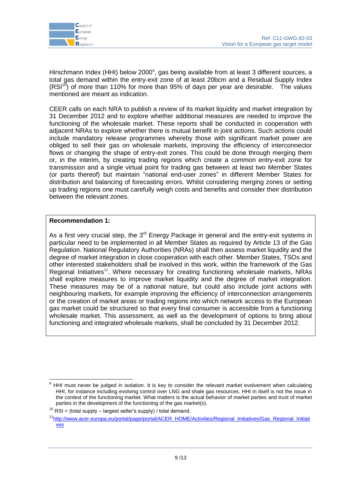

Hirschmann Index (HHI) below 2000<sup>9</sup>, gas being available from at least 3 different sources, a total gas demand within the entry-exit zone of at least 20bcm and a Residual Supply Index  $(RSI<sup>10</sup>)$  of more than 110% for more than 95% of days per year are desirable. The values mentioned are meant as indication.

CEER calls on each NRA to publish a review of its market liquidity and market integration by 31 December 2012 and to explore whether additional measures are needed to improve the functioning of the wholesale market. These reports shall be conducted in cooperation with adjacent NRAs to explore whether there is mutual benefit in joint actions. Such actions could include mandatory release programmes whereby those with significant market power are obliged to sell their gas on wholesale markets, improving the efficiency of interconnector flows or changing the shape of entry-exit zones. This could be done through merging them or, in the interim, by creating trading regions which create a common entry-exit zone for transmission and a single virtual point for trading gas between at least two Member States (or parts thereof) but maintain "national end-user zones" in different Member States for distribution and balancing of forecasting errors. Whilst considering merging zones or setting up trading regions one must carefully weigh costs and benefits and consider their distribution between the relevant zones.

# **Recommendation 1:**

1

As a first very crucial step, the  $3<sup>rd</sup>$  Energy Package in general and the entry-exit systems in particular need to be implemented in all Member States as required by Article 13 of the Gas Regulation. National Regulatory Authorities (NRAs) shall then assess market liquidity and the degree of market integration in close cooperation with each other. Member States, TSOs and other interested stakeholders shall be involved in this work, within the framework of the Gas Regional Initiatives<sup>11</sup>. Where necessary for creating functioning wholesale markets, NRAs shall explore measures to improve market liquidity and the degree of market integration. These measures may be of a national nature, but could also include joint actions with neighbouring markets, for example improving the efficiency of interconnection arrangements or the creation of market areas or trading regions into which network access to the European gas market could be structured so that every final consumer is accessible from a functioning wholesale market. This assessment, as well as the development of options to bring about functioning and integrated wholesale markets, shall be concluded by 31 December 2012.

HHI must never be judged in isolation. It is key to consider the relevant market evolvement when calculating HHI, for instance including evolving control over LNG and shale gas resources. HHI in itself is not the issue in the context of the functioning market. What matters is the actual behavior of market parties and trust of market parties in the development of the functioning of the gas market(s).

 $10$  RSI = (total supply – largest seller's supply) / total demand.

<sup>11</sup>[http://www.acer.europa.eu/portal/page/portal/ACER\\_HOME/Activities/Regional\\_Initiatives/Gas\\_Regional\\_Initiati](http://www.acer.europa.eu/portal/page/portal/ACER_HOME/Activities/Regional_Initiatives/Gas_Regional_Initiatives) [ves](http://www.acer.europa.eu/portal/page/portal/ACER_HOME/Activities/Regional_Initiatives/Gas_Regional_Initiatives)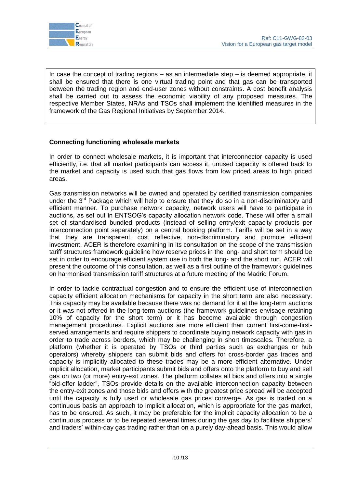

In case the concept of trading regions – as an intermediate step – is deemed appropriate, it shall be ensured that there is one virtual trading point and that gas can be transported between the trading region and end-user zones without constraints. A cost benefit analysis shall be carried out to assess the economic viability of any proposed measures. The respective Member States, NRAs and TSOs shall implement the identified measures in the framework of the Gas Regional Initiatives by September 2014.

# **Connecting functioning wholesale markets**

In order to connect wholesale markets, it is important that interconnector capacity is used efficiently, i.e. that all market participants can access it, unused capacity is offered back to the market and capacity is used such that gas flows from low priced areas to high priced areas.

Gas transmission networks will be owned and operated by certified transmission companies under the  $3<sup>rd</sup>$  Package which will help to ensure that they do so in a non-discriminatory and efficient manner. To purchase network capacity, network users will have to participate in auctions, as set out in ENTSOG"s capacity allocation network code. These will offer a small set of standardised bundled products (instead of selling entry/exit capacity products per interconnection point separately) on a central booking platform. Tariffs will be set in a way that they are transparent, cost reflective, non-discriminatory and promote efficient investment. ACER is therefore examining in its consultation on the scope of the transmission tariff structures framework guideline how reserve prices in the long- and short term should be set in order to encourage efficient system use in both the long- and the short run. ACER will present the outcome of this consultation, as well as a first outline of the framework guidelines on harmonised transmission tariff structures at a future meeting of the Madrid Forum.

In order to tackle contractual congestion and to ensure the efficient use of interconnection capacity efficient allocation mechanisms for capacity in the short term are also necessary. This capacity may be available because there was no demand for it at the long-term auctions or it was not offered in the long-term auctions (the framework guidelines envisage retaining 10% of capacity for the short term) or it has become available through congestion management procedures. Explicit auctions are more efficient than current first-come-firstserved arrangements and require shippers to coordinate buying network capacity with gas in order to trade across borders, which may be challenging in short timescales. Therefore, a platform (whether it is operated by TSOs or third parties such as exchanges or hub operators) whereby shippers can submit bids and offers for cross-border gas trades and capacity is implicitly allocated to these trades may be a more efficient alternative. Under implicit allocation, market participants submit bids and offers onto the platform to buy and sell gas on two (or more) entry-exit zones. The platform collates all bids and offers into a single "bid-offer ladder", TSOs provide details on the available interconnection capacity between the entry-exit zones and those bids and offers with the greatest price spread will be accepted until the capacity is fully used or wholesale gas prices converge. As gas is traded on a continuous basis an approach to implicit allocation, which is appropriate for the gas market, has to be ensured. As such, it may be preferable for the implicit capacity allocation to be a continuous process or to be repeated several times during the gas day to facilitate shippers" and traders" within-day gas trading rather than on a purely day-ahead basis. This would allow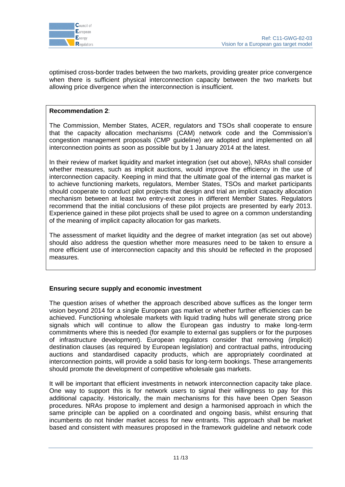

optimised cross-border trades between the two markets, providing greater price convergence when there is sufficient physical interconnection capacity between the two markets but allowing price divergence when the interconnection is insufficient.

# **Recommendation 2**:

The Commission, Member States, ACER, regulators and TSOs shall cooperate to ensure that the capacity allocation mechanisms (CAM) network code and the Commission"s congestion management proposals (CMP guideline) are adopted and implemented on all interconnection points as soon as possible but by 1 January 2014 at the latest.

In their review of market liquidity and market integration (set out above), NRAs shall consider whether measures, such as implicit auctions, would improve the efficiency in the use of interconnection capacity. Keeping in mind that the ultimate goal of the internal gas market is to achieve functioning markets, regulators, Member States, TSOs and market participants should cooperate to conduct pilot projects that design and trial an implicit capacity allocation mechanism between at least two entry-exit zones in different Member States. Regulators recommend that the initial conclusions of these pilot projects are presented by early 2013. Experience gained in these pilot projects shall be used to agree on a common understanding of the meaning of implicit capacity allocation for gas markets.

The assessment of market liquidity and the degree of market integration (as set out above) should also address the question whether more measures need to be taken to ensure a more efficient use of interconnection capacity and this should be reflected in the proposed measures.

# **Ensuring secure supply and economic investment**

The question arises of whether the approach described above suffices as the longer term vision beyond 2014 for a single European gas market or whether further efficiencies can be achieved. Functioning wholesale markets with liquid trading hubs will generate strong price signals which will continue to allow the European gas industry to make long-term commitments where this is needed (for example to external gas suppliers or for the purposes of infrastructure development). European regulators consider that removing (implicit) destination clauses (as required by European legislation) and contractual paths, introducing auctions and standardised capacity products, which are appropriately coordinated at interconnection points, will provide a solid basis for long-term bookings. These arrangements should promote the development of competitive wholesale gas markets.

It will be important that efficient investments in network interconnection capacity take place. One way to support this is for network users to signal their willingness to pay for this additional capacity. Historically, the main mechanisms for this have been Open Season procedures. NRAs propose to implement and design a harmonised approach in which the same principle can be applied on a coordinated and ongoing basis, whilst ensuring that incumbents do not hinder market access for new entrants. This approach shall be market based and consistent with measures proposed in the framework guideline and network code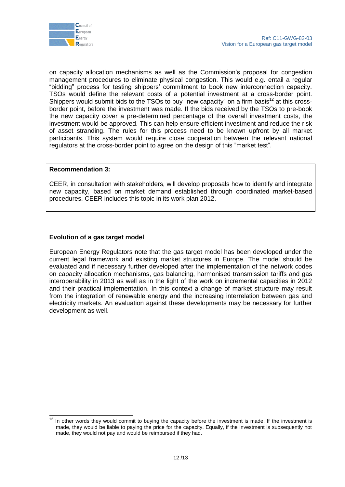

on capacity allocation mechanisms as well as the Commission"s proposal for congestion management procedures to eliminate physical congestion. This would e.g. entail a regular "bidding" process for testing shippers" commitment to book new interconnection capacity. TSOs would define the relevant costs of a potential investment at a cross-border point. Shippers would submit bids to the TSOs to buy "new capacity" on a firm basis<sup>12</sup> at this crossborder point, before the investment was made. If the bids received by the TSOs to pre-book the new capacity cover a pre-determined percentage of the overall investment costs, the investment would be approved. This can help ensure efficient investment and reduce the risk of asset stranding. The rules for this process need to be known upfront by all market participants. This system would require close cooperation between the relevant national regulators at the cross-border point to agree on the design of this "market test".

# **Recommendation 3:**

CEER, in consultation with stakeholders, will develop proposals how to identify and integrate new capacity, based on market demand established through coordinated market-based procedures. CEER includes this topic in its work plan 2012.

#### **Evolution of a gas target model**

European Energy Regulators note that the gas target model has been developed under the current legal framework and existing market structures in Europe. The model should be evaluated and if necessary further developed after the implementation of the network codes on capacity allocation mechanisms, gas balancing, harmonised transmission tariffs and gas interoperability in 2013 as well as in the light of the work on incremental capacities in 2012 and their practical implementation. In this context a change of market structure may result from the integration of renewable energy and the increasing interrelation between gas and electricity markets. An evaluation against these developments may be necessary for further development as well.

 $12$ In other words they would commit to buying the capacity before the investment is made. If the investment is made, they would be liable to paying the price for the capacity. Equally, if the investment is subsequently not made, they would not pay and would be reimbursed if they had.